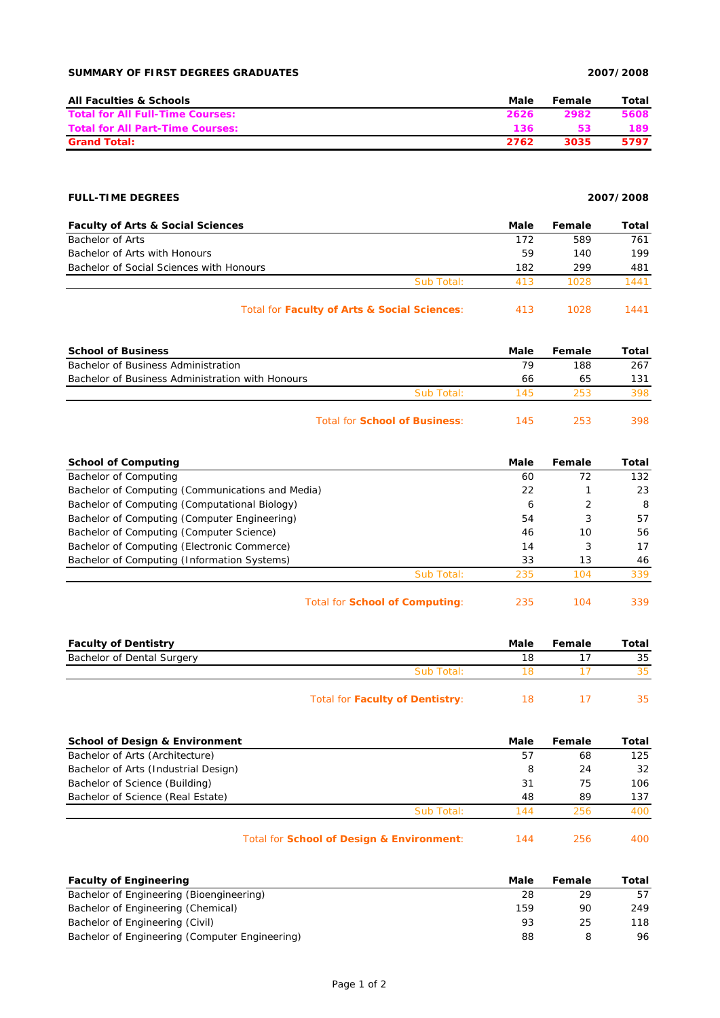## **SUMMARY OF FIRST DEGREES GRADUATES 2007/2008**

| <b>All Faculties &amp; Schools</b>      | Male | Female | Total |
|-----------------------------------------|------|--------|-------|
| <b>Total for All Full-Time Courses:</b> | 2626 | 2982   | 5608  |
| <b>Total for All Part-Time Courses:</b> | 136  | 53     | 189.  |
| <b>Grand Total:</b>                     | 2762 | 3035   | 5797  |

## **FULL-TIME DEGREES 2007/2008**

| <b>Faculty of Arts &amp; Social Sciences</b> |            | Male | Female | Total |
|----------------------------------------------|------------|------|--------|-------|
| Bachelor of Arts                             |            | 172  | 589    | 761   |
| Bachelor of Arts with Honours                |            | 59   | 140    | 199   |
| Bachelor of Social Sciences with Honours     |            | 182  | 299    | 481   |
|                                              | Sub Total: | 413  | 1028   | 1441  |
| Total for Faculty of Arts & Social Sciences: |            | 413  | 1028   | 1441  |

| <b>School of Business</b>                        |                                      | Male | Female | Total |
|--------------------------------------------------|--------------------------------------|------|--------|-------|
| Bachelor of Business Administration              |                                      | 79   | 188    | 267   |
| Bachelor of Business Administration with Honours |                                      | 66   | 65     | 131   |
|                                                  | Sub Total:                           | 145  | 253    | 398   |
|                                                  | Total for <b>School of Business:</b> | 145  | 253    | 398   |

|            | Male | Female | Total |
|------------|------|--------|-------|
|            | 60   | 72     | 132   |
|            | 22   |        | 23    |
|            | 6    | 2      | 8     |
|            | 54   | 3      | 57    |
|            | 46   | 10     | 56    |
|            | 14   | 3      | 17    |
|            | 33   | 13     | 46    |
| Sub Total: | 235  | 104    | 339   |
|            |      |        |       |

| Total for <b>School of Computing</b> : | 235 | 104 | 339 |
|----------------------------------------|-----|-----|-----|
|----------------------------------------|-----|-----|-----|

| <b>Faculty of Dentistry</b> |                                 | Male | Female | Total |
|-----------------------------|---------------------------------|------|--------|-------|
| Bachelor of Dental Surgery  |                                 | 18   |        | 35    |
|                             | Sub Total:                      |      |        | 35    |
|                             | Total for Faculty of Dentistry: | 18   |        | 35    |

| <b>School of Design &amp; Environment</b> |                                           | Male | Female | Total |
|-------------------------------------------|-------------------------------------------|------|--------|-------|
| Bachelor of Arts (Architecture)           |                                           | 57   | 68     | 125   |
| Bachelor of Arts (Industrial Design)      |                                           | 8    | 24     | 32    |
| Bachelor of Science (Building)            |                                           | 31   | 75     | 106   |
| Bachelor of Science (Real Estate)         |                                           | 48   | 89     | 137   |
|                                           | Sub Total:                                | 144  | 256    | 400   |
|                                           | Total for School of Design & Environment: | 144  | 256    | 400   |

| <b>Faculty of Engineering</b>                  | Male | Female | Total |
|------------------------------------------------|------|--------|-------|
| Bachelor of Engineering (Bioengineering)       | 28   | 29     | 57    |
| Bachelor of Engineering (Chemical)             | 159  | 90     | 249   |
| Bachelor of Engineering (Civil)                | 93   | 25     | 118   |
| Bachelor of Engineering (Computer Engineering) | 88   |        | 96    |